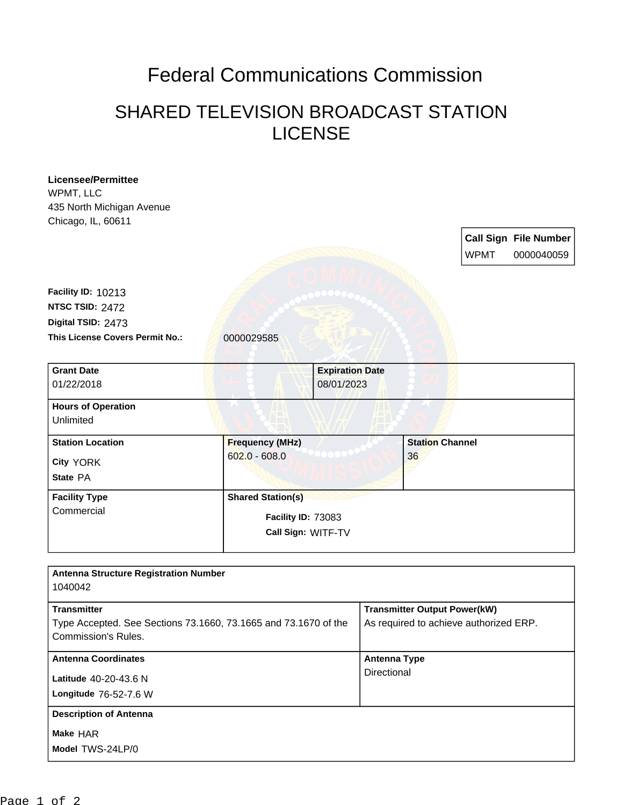## Federal Communications Commission

## SHARED TELEVISION BROADCAST STATION LICENSE

| <b>Licensee/Permittee</b>                                       |                          |                        |                     |                                     |                                        |                              |  |
|-----------------------------------------------------------------|--------------------------|------------------------|---------------------|-------------------------------------|----------------------------------------|------------------------------|--|
| WPMT, LLC                                                       |                          |                        |                     |                                     |                                        |                              |  |
| 435 North Michigan Avenue                                       |                          |                        |                     |                                     |                                        |                              |  |
| Chicago, IL, 60611                                              |                          |                        |                     |                                     |                                        |                              |  |
|                                                                 |                          |                        |                     |                                     |                                        | <b>Call Sign File Number</b> |  |
|                                                                 |                          |                        |                     |                                     | <b>WPMT</b>                            | 0000040059                   |  |
|                                                                 |                          |                        |                     |                                     |                                        |                              |  |
| Facility ID: 10213                                              |                          |                        |                     |                                     |                                        |                              |  |
| NTSC TSID: 2472                                                 |                          |                        |                     |                                     |                                        |                              |  |
|                                                                 |                          |                        |                     |                                     |                                        |                              |  |
| Digital TSID: 2473                                              |                          |                        |                     |                                     |                                        |                              |  |
| This License Covers Permit No.:                                 | 0000029585               |                        |                     |                                     |                                        |                              |  |
| <b>Grant Date</b>                                               |                          | <b>Expiration Date</b> |                     |                                     |                                        |                              |  |
| 01/22/2018                                                      |                          | 08/01/2023             |                     |                                     |                                        |                              |  |
| <b>Hours of Operation</b>                                       |                          |                        |                     |                                     |                                        |                              |  |
| Unlimited                                                       |                          |                        |                     |                                     |                                        |                              |  |
| <b>Station Location</b>                                         | <b>Frequency (MHz)</b>   |                        |                     | <b>Station Channel</b>              |                                        |                              |  |
| <b>City YORK</b>                                                | $602.0 - 608.0$          |                        |                     | 36                                  |                                        |                              |  |
| State PA                                                        |                          |                        |                     |                                     |                                        |                              |  |
| <b>Facility Type</b>                                            | <b>Shared Station(s)</b> |                        |                     |                                     |                                        |                              |  |
| Commercial                                                      |                          | Facility ID: 73083     |                     |                                     |                                        |                              |  |
|                                                                 |                          |                        |                     |                                     |                                        |                              |  |
|                                                                 | Call Sign: WITF-TV       |                        |                     |                                     |                                        |                              |  |
|                                                                 |                          |                        |                     |                                     |                                        |                              |  |
| <b>Antenna Structure Registration Number</b><br>1040042         |                          |                        |                     |                                     |                                        |                              |  |
|                                                                 |                          |                        |                     |                                     |                                        |                              |  |
| <b>Transmitter</b>                                              |                          |                        |                     | <b>Transmitter Output Power(kW)</b> |                                        |                              |  |
| Type Accepted. See Sections 73.1660, 73.1665 and 73.1670 of the |                          |                        |                     |                                     | As required to achieve authorized ERP. |                              |  |
| Commission's Rules.                                             |                          |                        |                     |                                     |                                        |                              |  |
| <b>Antenna Coordinates</b>                                      |                          |                        | <b>Antenna Type</b> |                                     |                                        |                              |  |
| Latitude 40-20-43.6 N                                           |                          |                        | Directional         |                                     |                                        |                              |  |
| Longitude 76-52-7.6 W                                           |                          |                        |                     |                                     |                                        |                              |  |
| <b>Description of Antenna</b>                                   |                          |                        |                     |                                     |                                        |                              |  |
|                                                                 |                          |                        |                     |                                     |                                        |                              |  |
| Make HAR                                                        |                          |                        |                     |                                     |                                        |                              |  |
| Model TWS-24LP/0                                                |                          |                        |                     |                                     |                                        |                              |  |